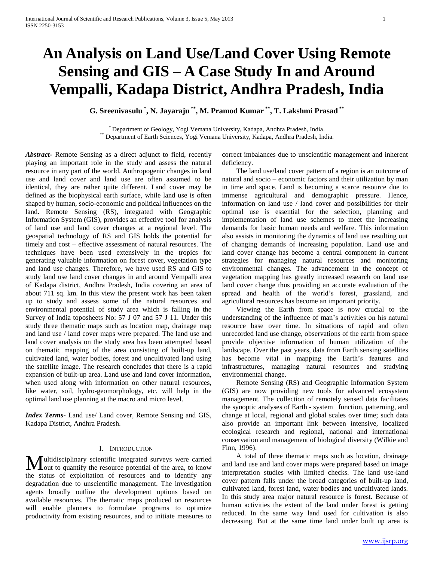# **An Analysis on Land Use/Land Cover Using Remote Sensing and GIS – A Case Study In and Around Vempalli, Kadapa District, Andhra Pradesh, India**

**G. Sreenivasulu \* , N. Jayaraju \*\* , M. Pramod Kumar \*\* , T. Lakshmi Prasad \*\***

\* Department of Geology, Yogi Vemana University, Kadapa, Andhra Pradesh, India. \*\* Department of Earth Sciences, Yogi Vemana University, Kadapa, Andhra Pradesh, India.

*Abstract***-** Remote Sensing as a direct adjunct to field, recently playing an important role in the study and assess the natural resource in any part of the world. Anthropogenic changes in land use and land cover and land use are often assumed to be identical, they are rather quite different. Land cover may be defined as the biophysical earth surface, while land use is often shaped by human, socio-economic and political influences on the land. Remote Sensing (RS), integrated with Geographic Information System (GIS), provides an effective tool for analysis of land use and land cover changes at a regional level. The geospatial technology of RS and GIS holds the potential for timely and cost – effective assessment of natural resources. The techniques have been used extensively in the tropics for generating valuable information on forest cover, vegetation type and land use changes. Therefore, we have used RS and GIS to study land use land cover changes in and around Vempalli area of Kadapa district, Andhra Pradesh, India covering an area of about 711 sq. km. In this view the present work has been taken up to study and assess some of the natural resources and environmental potential of study area which is falling in the Survey of India toposheets No: 57 J 07 and 57 J 11. Under this study three thematic maps such as location map, drainage map and land use / land cover maps were prepared. The land use and land cover analysis on the study area has been attempted based on thematic mapping of the area consisting of built-up land, cultivated land, water bodies, forest and uncultivated land using the satellite image. The research concludes that there is a rapid expansion of built-up area. Land use and land cover information, when used along with information on other natural resources, like water, soil, hydro-geomorphology, etc. will help in the optimal land use planning at the macro and micro level.

*Index Terms*- Land use/ Land cover, Remote Sensing and GIS, Kadapa District, Andhra Pradesh.

# I. INTRODUCTION

Iultidisciplinary scientific integrated surveys were carried **L**out to quantify the resource potential of the area, to know **M** ultidisciplinary scientific integrated surveys were carried out to quantify the resource potential of the area, to know the status of exploitation of resources and to identify any degradation due to unscientific management. The investigation agents broadly outline the development options based on available resources. The thematic maps produced on resources will enable planners to formulate programs to optimize productivity from existing resources, and to initiate measures to

correct imbalances due to unscientific management and inherent deficiency.

 The land use/land cover pattern of a region is an outcome of natural and socio – economic factors and their utilization by man in time and space. Land is becoming a scarce resource due to immense agricultural and demographic pressure. Hence, information on land use / land cover and possibilities for their optimal use is essential for the selection, planning and implementation of land use schemes to meet the increasing demands for basic human needs and welfare. This information also assists in monitoring the dynamics of land use resulting out of changing demands of increasing population. Land use and land cover change has become a central component in current strategies for managing natural resources and monitoring environmental changes. The advancement in the concept of vegetation mapping has greatly increased research on land use land cover change thus providing an accurate evaluation of the spread and health of the world's forest, grassland, and agricultural resources has become an important priority.

 Viewing the Earth from space is now crucial to the understanding of the influence of man's activities on his natural resource base over time. In situations of rapid and often unrecorded land use change, observations of the earth from space provide objective information of human utilization of the landscape. Over the past years, data from Earth sensing satellites has become vital in mapping the Earth's features and infrastructures, managing natural resources and studying environmental change.

 Remote Sensing (RS) and Geographic Information System (GIS) are now providing new tools for advanced ecosystem management. The collection of remotely sensed data facilitates the synoptic analyses of Earth - system function, patterning, and change at local, regional and global scales over time; such data also provide an important link between intensive, localized ecological research and regional, national and international conservation and management of biological diversity (Wilkie and Finn, 1996).

 A total of three thematic maps such as location, drainage and land use and land cover maps were prepared based on image interpretation studies with limited checks. The land use-land cover pattern falls under the broad categories of built-up land, cultivated land, forest land, water bodies and uncultivated lands. In this study area major natural resource is forest. Because of human activities the extent of the land under forest is getting reduced. In the same way land used for cultivation is also decreasing. But at the same time land under built up area is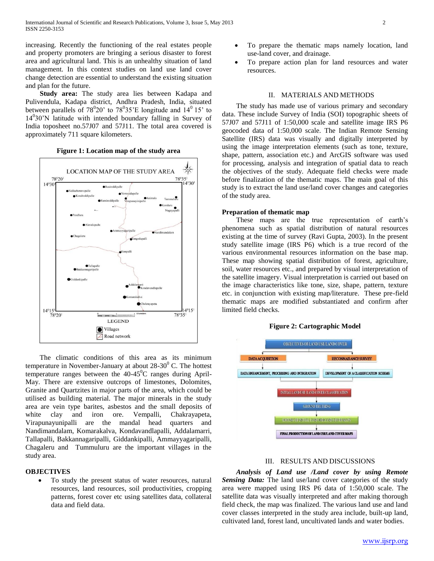increasing. Recently the functioning of the real estates people and property promoters are bringing a serious disaster to forest area and agricultural land. This is an unhealthy situation of land management. In this context studies on land use land cover change detection are essential to understand the existing situation and plan for the future.

 **Study area:** The study area lies between Kadapa and Pulivendula, Kadapa district, Andhra Pradesh, India, situated between parallels of  $78^{\circ}20'$  to  $78^{\circ}35'E$  longitude and  $14^{\circ}15'$  to 14<sup>0</sup> 30'N latitude with intended boundary falling in Survey of India toposheet no.57J07 and 57J11. The total area covered is approximately 711 square kilometers.



#### **Figure 1: Location map of the study area**

 The climatic conditions of this area as its minimum temperature in November-January at about  $28-30^0$  C. The hottest temperature ranges between the  $40-45^{\circ}$ C ranges during April-May. There are extensive outcrops of limestones, Dolomites, Granite and Quartzites in major parts of the area, which could be utilised as building material. The major minerals in the study area are vein type barites, asbestos and the small deposits of white clay and iron ore. Vempalli, Chakrayapeta, Virapunayunipalli are the mandal head quarters and Nandimandalam, Komarakalva, Kondavandlapalli, Addalamarri, Tallapalli, Bakkannagaripalli, Giddankipalli, Ammayyagaripalli, Chagaleru and Tummuluru are the important villages in the study area.

# **OBJECTIVES**

 To study the present status of water resources, natural resources, land resources, soil productivities, cropping patterns, forest cover etc using satellites data, collateral data and field data.

- To prepare the thematic maps namely location, land use-land cover, and drainage.
- To prepare action plan for land resources and water resources.

#### II. MATERIALS AND METHODS

 The study has made use of various primary and secondary data. These include Survey of India (SOI) topographic sheets of 57J07 and 57J11 of 1:50,000 scale and satellite image IRS P6 geocoded data of 1:50,000 scale. The Indian Remote Sensing Satellite (IRS) data was visually and digitally interpreted by using the image interpretation elements (such as tone, texture, shape, pattern, association etc.) and ArcGIS software was used for processing, analysis and integration of spatial data to reach the objectives of the study. Adequate field checks were made before finalization of the thematic maps. The main goal of this study is to extract the land use/land cover changes and categories of the study area.

# **Preparation of thematic map**

 These maps are the true representation of earth's phenomena such as spatial distribution of natural resources existing at the time of survey (Ravi Gupta, 2003). In the present study satellite image (IRS P6) which is a true record of the various environmental resources information on the base map. These map showing spatial distribution of forest, agriculture, soil, water resources etc., and prepared by visual interpretation of the satellite imagery. Visual interpretation is carried out based on the image characteristics like tone, size, shape, pattern, texture etc. in conjunction with existing map/literature. These pre-field thematic maps are modified substantiated and confirm after limited field checks.

# **Figure 2: Cartographic Model**



# III. RESULTS AND DISCUSSIONS

 *Analysis of Land use /Land cover by using Remote*  Sensing Data: The land use/land cover categories of the study area were mapped using IRS P6 data of 1:50,000 scale. The satellite data was visually interpreted and after making thorough field check, the map was finalized. The various land use and land cover classes interpreted in the study area include, built-up land, cultivated land, forest land, uncultivated lands and water bodies.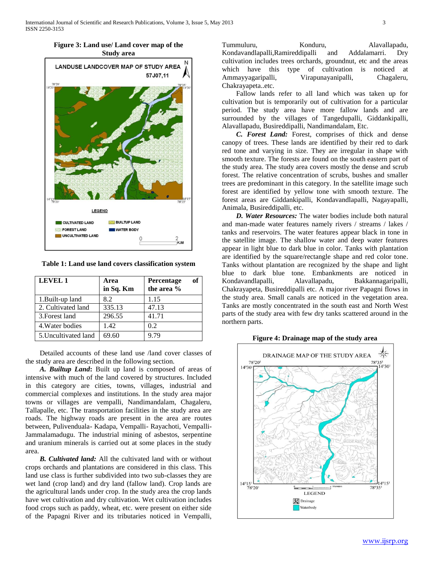



**Table 1: Land use land covers classification system**

| <b>LEVEL 1</b>       | Area<br>in Sq. Km | of<br>Percentage<br>the area % |
|----------------------|-------------------|--------------------------------|
| 1. Built-up land     | 8.2               | 1.15                           |
| 2. Cultivated land   | 335.13            | 47.13                          |
| 3. Forest land       | 296.55            | 41.71                          |
| 4. Water bodies      | 1.42              | 0.2                            |
| 5. Uncultivated land | 69.60             | 9.79                           |

 Detailed accounts of these land use /land cover classes of the study area are described in the following section.

 *A. Builtup Land***:** Built up land is composed of areas of intensive with much of the land covered by structures. Included in this category are cities, towns, villages, industrial and commercial complexes and institutions. In the study area major towns or villages are vempalli, Nandimandalam, Chagaleru, Tallapalle, etc. The transportation facilities in the study area are roads. The highway roads are present in the area are routes between, Pulivenduala- Kadapa, Vempalli- Rayachoti, Vempalli-Jammalamadugu. The industrial mining of asbestos, serpentine and uranium minerals is carried out at some places in the study area.

 *B. Cultivated land:* All the cultivated land with or without crops orchards and plantations are considered in this class. This land use class is further subdivided into two sub-classes they are wet land (crop land) and dry land (fallow land). Crop lands are the agricultural lands under crop. In the study area the crop lands have wet cultivation and dry cultivation. Wet cultivation includes food crops such as paddy, wheat, etc. were present on either side of the Papagni River and its tributaries noticed in Vempalli,

Tummuluru, Konduru, Alavallapadu, Kondavandlapalli,Ramireddipalli and Addalamarri. Dry cultivation includes trees orchards, groundnut, etc and the areas which have this type of cultivation is noticed at Ammayyagaripalli, Virapunayanipalli, Chagaleru, Chakrayapeta..etc.

 Fallow lands refer to all land which was taken up for cultivation but is temporarily out of cultivation for a particular period. The study area have more fallow lands and are surrounded by the villages of Tangedupalli, Giddankipalli, Alavallapadu, Busireddipalli, Nandimandalam, Etc.

 *C. Forest Land:* Forest, comprises of thick and dense canopy of trees. These lands are identified by their red to dark red tone and varying in size. They are irregular in shape with smooth texture. The forests are found on the south eastern part of the study area. The study area covers mostly the dense and scrub forest. The relative concentration of scrubs, bushes and smaller trees are predominant in this category. In the satellite image such forest are identified by yellow tone with smooth texture. The forest areas are Giddankipalli, Kondavandlapalli, Nagayapalli, Animala, Busireddipalli, etc.

 *D. Water Resources:* The water bodies include both natural and man-made water features namely rivers / streams / lakes / tanks and reservoirs. The water features appear black in tone in the satellite image. The shallow water and deep water features appear in light blue to dark blue in color. Tanks with plantation are identified by the square/rectangle shape and red color tone. Tanks without plantation are recognized by the shape and light blue to dark blue tone. Embankments are noticed in Kondavandlapalli, Alavallapadu, Bakkannagaripalli, Chakrayapeta, Busireddipalli etc. A major river Papagni flows in the study area. Small canals are noticed in the vegetation area. Tanks are mostly concentrated in the south east and North West parts of the study area with few dry tanks scattered around in the northern parts.

#### **Figure 4: Drainage map of the study area**